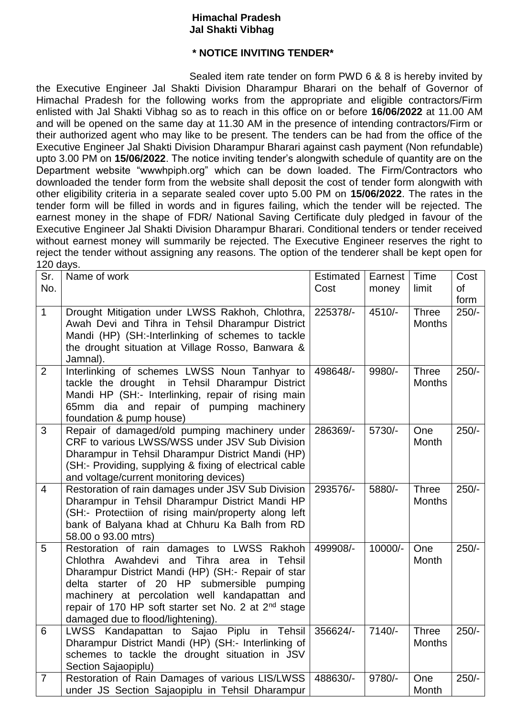## **Himachal Pradesh Jal Shakti Vibhag**

## **\* NOTICE INVITING TENDER\***

Sealed item rate tender on form PWD 6 & 8 is hereby invited by the Executive Engineer Jal Shakti Division Dharampur Bharari on the behalf of Governor of Himachal Pradesh for the following works from the appropriate and eligible contractors/Firm enlisted with Jal Shakti Vibhag so as to reach in this office on or before **16/06/2022** at 11.00 AM and will be opened on the same day at 11.30 AM in the presence of intending contractors/Firm or their authorized agent who may like to be present. The tenders can be had from the office of the Executive Engineer Jal Shakti Division Dharampur Bharari against cash payment (Non refundable) upto 3.00 PM on **15/06/2022**. The notice inviting tender's alongwith schedule of quantity are on the Department website "wwwhpiph.org" which can be down loaded. The Firm/Contractors who downloaded the tender form from the website shall deposit the cost of tender form alongwith with other eligibility criteria in a separate sealed cover upto 5.00 PM on **15/06/2022**. The rates in the tender form will be filled in words and in figures failing, which the tender will be rejected. The earnest money in the shape of FDR/ National Saving Certificate duly pledged in favour of the Executive Engineer Jal Shakti Division Dharampur Bharari. Conditional tenders or tender received without earnest money will summarily be rejected. The Executive Engineer reserves the right to reject the tender without assigning any reasons. The option of the tenderer shall be kept open for 120 days.

| Sr.            | Name of work                                                                                           | Estimated | Earnest  | Time          | Cost      |
|----------------|--------------------------------------------------------------------------------------------------------|-----------|----------|---------------|-----------|
| No.            |                                                                                                        | Cost      | money    | limit         | <b>of</b> |
|                |                                                                                                        |           |          |               | form      |
| $\mathbf{1}$   | Drought Mitigation under LWSS Rakhoh, Chlothra,                                                        | 225378/-  | 4510/-   | Three         | $250/-$   |
|                | Awah Devi and Tihra in Tehsil Dharampur District                                                       |           |          | <b>Months</b> |           |
|                | Mandi (HP) (SH:-Interlinking of schemes to tackle<br>the drought situation at Village Rosso, Banwara & |           |          |               |           |
|                | Jamnal).                                                                                               |           |          |               |           |
| $\overline{2}$ | Interlinking of schemes LWSS Noun Tanhyar to                                                           | 498648/-  | 9980/-   | <b>Three</b>  | $250/-$   |
|                | tackle the drought in Tehsil Dharampur District                                                        |           |          | <b>Months</b> |           |
|                | Mandi HP (SH:- Interlinking, repair of rising main                                                     |           |          |               |           |
|                | 65mm dia and repair of pumping<br>machinery                                                            |           |          |               |           |
|                | foundation & pump house)                                                                               |           |          |               |           |
| 3              | Repair of damaged/old pumping machinery under                                                          | 286369/-  | 5730/-   | One           | $250/-$   |
|                | CRF to various LWSS/WSS under JSV Sub Division<br>Dharampur in Tehsil Dharampur District Mandi (HP)    |           |          | Month         |           |
|                | (SH:- Providing, supplying & fixing of electrical cable                                                |           |          |               |           |
|                | and voltage/current monitoring devices)                                                                |           |          |               |           |
| $\overline{4}$ | Restoration of rain damages under JSV Sub Division                                                     | 293576/-  | 5880/-   | <b>Three</b>  | $250/-$   |
|                | Dharampur in Tehsil Dharampur District Mandi HP                                                        |           |          | <b>Months</b> |           |
|                | (SH:- Protectiion of rising main/property along left                                                   |           |          |               |           |
|                | bank of Balyana khad at Chhuru Ka Balh from RD                                                         |           |          |               |           |
|                | 58.00 o 93.00 mtrs)                                                                                    |           |          |               |           |
| 5              | Restoration of rain damages to LWSS Rakhoh<br>Chlothra Awahdevi and Tihra area in Tehsil               | 499908/-  | 10000/-  | One<br>Month  | $250/-$   |
|                | Dharampur District Mandi (HP) (SH:- Repair of star                                                     |           |          |               |           |
|                | delta starter of 20 HP submersible pumping                                                             |           |          |               |           |
|                | machinery at percolation well kandapattan and                                                          |           |          |               |           |
|                | repair of 170 HP soft starter set No. 2 at 2 <sup>nd</sup> stage                                       |           |          |               |           |
|                | damaged due to flood/lightening).                                                                      |           |          |               |           |
| 6              | LWSS Kandapattan to Sajao Piplu in Tehsil                                                              | 356624/-  | $7140/-$ | <b>Three</b>  | $250/-$   |
|                | Dharampur District Mandi (HP) (SH:- Interlinking of                                                    |           |          | <b>Months</b> |           |
|                | schemes to tackle the drought situation in JSV                                                         |           |          |               |           |
| $\overline{7}$ | Section Sajaopiplu)<br>Restoration of Rain Damages of various LIS/LWSS                                 | 488630/-  | 9780/-   | One           | $250/-$   |
|                | under JS Section Sajaopiplu in Tehsil Dharampur                                                        |           |          | Month         |           |